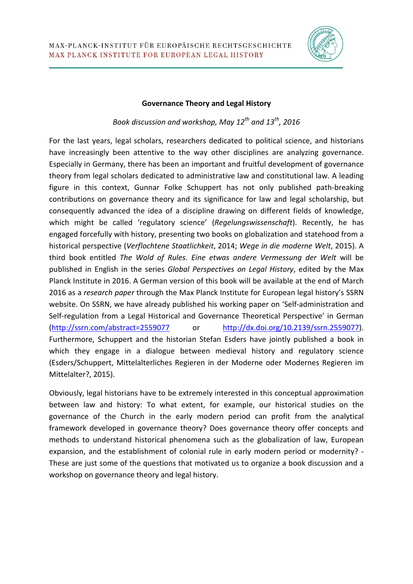

## **Governance Theory and Legal History**

*Book discussion and workshop, May 12th and 13th, 2016*

For the last years, legal scholars, researchers dedicated to political science, and historians have increasingly been attentive to the way other disciplines are analyzing governance. Especially in Germany, there has been an important and fruitful development of governance theory from legal scholars dedicated to administrative law and constitutional law. A leading figure in this context, Gunnar Folke Schuppert has not only published path-breaking contributions on governance theory and its significance for law and legal scholarship, but consequently advanced the idea of a discipline drawing on different fields of knowledge, which might be called 'regulatory science' (*Regelungswissenschaft*). Recently, he has engaged forcefully with history, presenting two books on globalization and statehood from a historical perspective (*Verflochtene Staatlichkeit*, 2014; *Wege in die moderne Welt*, 2015). A third book entitled *The Wold of Rules. Eine etwas andere Vermessung der Welt* will be published in English in the series *Global Perspectives on Legal History*' edited by the Max Planck Institute in 2016. A German version of this book will be available at the end of March 2016 as a *research paper* through the Max Planck Institute for European legal history's SSRN website. On SSRN, we have already published his working paper on 'Self-administration and Self-regulation from a Legal Historical and Governance Theoretical Perspective' in German [\(http://ssrn.com/abstract=2559077](http://ssrn.com/abstract=2559077) or [http://dx.doi.org/10.2139/ssrn.2559077\)](http://dx.doi.org/10.2139/ssrn.2559077). Furthermore, Schuppert and the historian Stefan Esders have jointly published a book in which they engage in a dialogue between medieval history and regulatory science (Esders/Schuppert, Mittelalterliches Regieren in der Moderne oder Modernes Regieren im Mittelalter?, 2015).

Obviously, legal historians have to be extremely interested in this conceptual approximation between law and history: To what extent, for example, our historical studies on the governance of the Church in the early modern period can profit from the analytical framework developed in governance theory? Does governance theory offer concepts and methods to understand historical phenomena such as the globalization of law, European expansion, and the establishment of colonial rule in early modern period or modernity? - These are just some of the questions that motivated us to organize a book discussion and a workshop on governance theory and legal history.